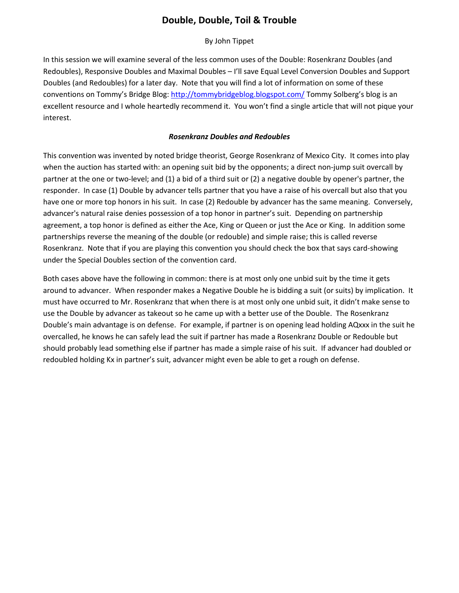## **Double, Double, Toil & Trouble**

By John Tippet

In this session we will examine several of the less common uses of the Double: Rosenkranz Doubles (and Redoubles), Responsive Doubles and Maximal Doubles – I'll save Equal Level Conversion Doubles and Support Doubles (and Redoubles) for a later day. Note that you will find a lot of information on some of these conventions on Tommy's Bridge Blog:<http://tommybridgeblog.blogspot.com/> Tommy Solberg's blog is an excellent resource and I whole heartedly recommend it. You won't find a single article that will not pique your interest.

## *Rosenkranz Doubles and Redoubles*

This convention was invented by noted bridge theorist, George Rosenkranz of Mexico City. It comes into play when the auction has started with: an opening suit bid by the opponents; a direct non-jump suit overcall by partner at the one or two-level; and (1) a bid of a third suit or (2) a negative double by opener's partner, the responder. In case (1) Double by advancer tells partner that you have a raise of his overcall but also that you have one or more top honors in his suit. In case (2) Redouble by advancer has the same meaning. Conversely, advancer's natural raise denies possession of a top honor in partner's suit. Depending on partnership agreement, a top honor is defined as either the Ace, King or Queen or just the Ace or King. In addition some partnerships reverse the meaning of the double (or redouble) and simple raise; this is called reverse Rosenkranz. Note that if you are playing this convention you should check the box that says card-showing under the Special Doubles section of the convention card.

Both cases above have the following in common: there is at most only one unbid suit by the time it gets around to advancer. When responder makes a Negative Double he is bidding a suit (or suits) by implication. It must have occurred to Mr. Rosenkranz that when there is at most only one unbid suit, it didn't make sense to use the Double by advancer as takeout so he came up with a better use of the Double. The Rosenkranz Double's main advantage is on defense. For example, if partner is on opening lead holding AQxxx in the suit he overcalled, he knows he can safely lead the suit if partner has made a Rosenkranz Double or Redouble but should probably lead something else if partner has made a simple raise of his suit. If advancer had doubled or redoubled holding Kx in partner's suit, advancer might even be able to get a rough on defense.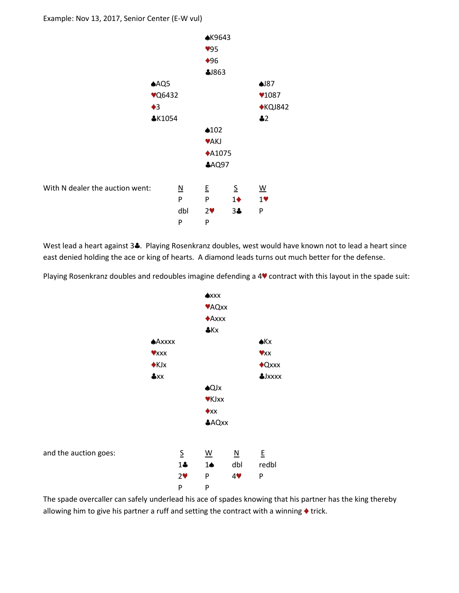

West lead a heart against 3. Playing Rosenkranz doubles, west would have known not to lead a heart since east denied holding the ace or king of hearts. A diamond leads turns out much better for the defense.

Playing Rosenkranz doubles and redoubles imagine defending a 4<sup> $\bullet$ </sup> contract with this layout in the spade suit:



The spade overcaller can safely underlead his ace of spades knowing that his partner has the king thereby allowing him to give his partner a ruff and setting the contract with a winning  $\blacklozenge$  trick.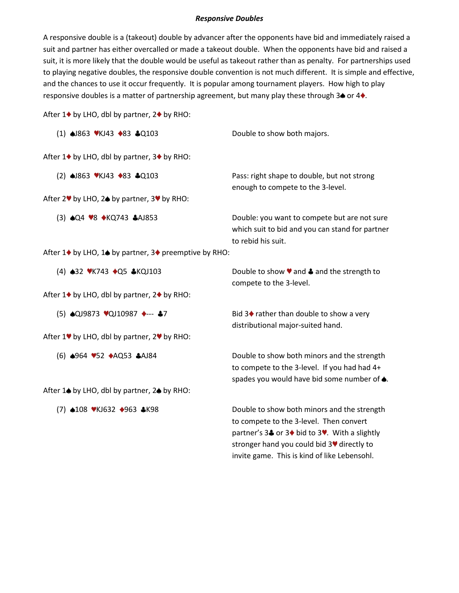## *Responsive Doubles*

A responsive double is a (takeout) double by advancer after the opponents have bid and immediately raised a suit and partner has either overcalled or made a takeout double. When the opponents have bid and raised a suit, it is more likely that the double would be useful as takeout rather than as penalty. For partnerships used to playing negative doubles, the responsive double convention is not much different. It is simple and effective, and the chances to use it occur frequently. It is popular among tournament players. How high to play responsive doubles is a matter of partnership agreement, but many play these through  $3\spadesuit$  or  $4\spadesuit$ .

After  $1\blacklozenge$  by LHO, dbl by partner,  $2\blacklozenge$  by RHO:

| $(1)$ $\triangle$ 863 $\blacktriangleright$ KJ43 $\triangle$ 83 $\triangle$ Q103          | Double to show both majors.                                                                                                                                                                       |
|-------------------------------------------------------------------------------------------|---------------------------------------------------------------------------------------------------------------------------------------------------------------------------------------------------|
| After 1 <sup>◆</sup> by LHO, dbl by partner, 3 <sup>◆</sup> by RHO:                       |                                                                                                                                                                                                   |
| (2) $\triangle$ 1863 VKJ43 $\triangle$ 83 $\triangle$ Q103                                | Pass: right shape to double, but not strong<br>enough to compete to the 3-level.                                                                                                                  |
| After 2 <sup>♥</sup> by LHO, 2 <sup>●</sup> by partner, 3 <sup>♥</sup> by RHO:            |                                                                                                                                                                                                   |
| (3) <b>△Q4 ♥8 ◆KQ743 ふAJ853</b>                                                           | Double: you want to compete but are not sure<br>which suit to bid and you can stand for partner<br>to rebid his suit.                                                                             |
| After 1 <sup>◆</sup> by LHO, 1 <sup>◆</sup> by partner, 3 <sup>◆</sup> preemptive by RHO: |                                                                                                                                                                                                   |
| (4) <b>432 WK743 +Q5 &amp;KQJ103</b>                                                      | Double to show $\blacktriangledown$ and $\clubsuit$ and the strength to<br>compete to the 3-level.                                                                                                |
| After 1♦ by LHO, dbl by partner, 2♦ by RHO:                                               |                                                                                                                                                                                                   |
| (5) $\triangle$ QJ9873 ♥QJ10987 ♦--- ÷7                                                   | Bid 3◆ rather than double to show a very<br>distributional major-suited hand.                                                                                                                     |
| After 1♥ by LHO, dbl by partner, 2♥ by RHO:                                               |                                                                                                                                                                                                   |
| (6) ♦964 752 ♦AQ53 ♦AJ84                                                                  | Double to show both minors and the strength<br>to compete to the 3-level. If you had had 4+<br>spades you would have bid some number of $\spadesuit$ .                                            |
| After 1 <sup>+</sup> by LHO, dbl by partner, 2 <sup>+</sup> by RHO:                       |                                                                                                                                                                                                   |
| (7) <b>4108 VKJ632 4963 4K98</b>                                                          | Double to show both minors and the strength<br>to compete to the 3-level. Then convert<br>partner's 3♣ or 3♦ bid to 3♥. With a slightly<br>stronger hand you could bid 3 <sup>•</sup> directly to |

invite game. This is kind of like Lebensohl.